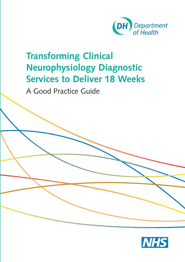

# **Transforming Clinical Neurophysiology Diagnostic Services to Deliver 18 Weeks**

A Good Practice Guide

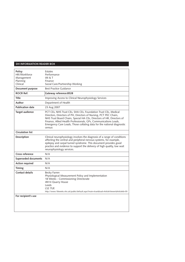#### **DH INFORMATION READER BOX**

| Policy<br>HR/Workforce<br>Management<br>Planning<br>Clinical | Estates<br>Performance<br>IM & T<br>Finance<br>Social Care/Partnership Working                                                                                                                                                                                                                                                                                       |
|--------------------------------------------------------------|----------------------------------------------------------------------------------------------------------------------------------------------------------------------------------------------------------------------------------------------------------------------------------------------------------------------------------------------------------------------|
| Document purpose                                             | <b>Best Practice Guidance</b>                                                                                                                                                                                                                                                                                                                                        |
| <b>ROCR Ref:</b>                                             | Gateway reference: 8528                                                                                                                                                                                                                                                                                                                                              |
| <b>Title</b>                                                 | Improving Access to Clinical Neurophysiology Services                                                                                                                                                                                                                                                                                                                |
| Author                                                       | Department of Health                                                                                                                                                                                                                                                                                                                                                 |
| <b>Publication date</b>                                      | 23 Aug 2007                                                                                                                                                                                                                                                                                                                                                          |
| <b>Target audience</b>                                       | PCT CEs, NHS Trust CEs, SHA CEs, Foundation Trust CEs, Medical<br>Directors, Directors of PH, Directors of Nursing, PCT PEC Chairs,<br>NHS Trust Board Chairs, Special HA CEs, Directors of HR, Directors of<br>Finance, Allied Health Professionals, GPs, Communications Leads,<br>Emergency Care Leads, Those collating data for the national diagnostic<br>census |
| <b>Circulation list</b>                                      |                                                                                                                                                                                                                                                                                                                                                                      |
| Description                                                  | Clinical neurophysiology involves the diagnosis of a range of conditions<br>affecting the central and peripheral nervous systems, for example,<br>epilepsy and carpal tunnel syndrome. This document provides good<br>practice and evidence to support the delivery of high quality, low wait<br>neurophysiology services.                                           |
| Cross reference                                              | N/A                                                                                                                                                                                                                                                                                                                                                                  |
| <b>Superseded documents</b>                                  | N/A                                                                                                                                                                                                                                                                                                                                                                  |
| <b>Action required</b>                                       | N/A                                                                                                                                                                                                                                                                                                                                                                  |
| <b>Timing</b>                                                | N/A                                                                                                                                                                                                                                                                                                                                                                  |
| Contact details                                              | Becky Farren<br>Physiological Measurement Policy and Implementation<br>18 Weeks - Commissioning Directorate<br>4N14 Quarry House<br>Leeds<br>LS2 7UE<br>http://www.18weeks.nhs.uk/public/default.aspx?main=true&load=ArticleViewer&ArticleId=55                                                                                                                      |
| For recipient's use                                          |                                                                                                                                                                                                                                                                                                                                                                      |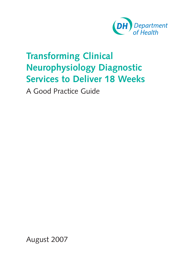

# **Transforming Clinical Neurophysiology Diagnostic Services to Deliver 18 Weeks**

A Good Practice Guide

August 2007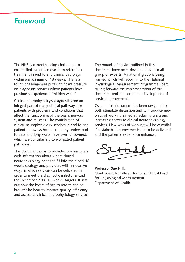### **Foreword**

The NHS is currently being challenged to ensure that patients move from referral to treatment in end to end clinical pathways within a maximum of 18 weeks. This is a tough challenge and puts significant pressure on diagnostic services where patients have previously experienced "hidden waits".

Clinical neurophysiology diagnostics are an integral part of many clinical pathways for patients with problems and conditions that affect the functioning of the brain, nervous system and muscles. The contribution of clinical neurophysiology services in end to end patient pathways has been poorly understood to date and long waits have been uncovered, which are contributing to elongated patient pathways.

This document aims to provide commissioners with information about where clinical neurophysiology needs to fit into their local 18 weeks strategy and providers with innovative ways in which services can be delivered in order to meet the diagnostic milestones and the December 2008 18 weeks targets. It sets out how the levers of health reform can be brought be bear to improve quality, efficiency and access to clinical neurophysiology services.

The models of service outlined in this document have been developed by a small group of experts. A national group is being formed which will report in to the National Physiological Measurement Programme Board, taking forward the implementation of this document and the continued development of service improvement.

Overall, this document has been designed to both stimulate discussion and to introduce new ways of working aimed at reducing waits and increasing access to clinical neurophysiology services. New ways of working will be essential if sustainable improvements are to be delivered and the patient's experience enhanced.



**Professor Sue Hill:** Chief Scientific Officer; National Clinical Lead for Physiological Measurement, Department of Health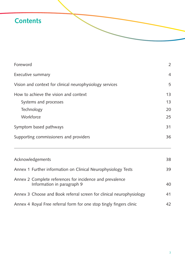## **Contents**

| Foreword                                                                               | $\overline{2}$ |  |
|----------------------------------------------------------------------------------------|----------------|--|
| Executive summary<br>Vision and context for clinical neurophysiology services          |                |  |
|                                                                                        |                |  |
| Symptom based pathways                                                                 |                |  |
| Supporting commissioners and providers                                                 | 36             |  |
| Acknowledgements                                                                       | 38             |  |
| Annex 1 Further information on Clinical Neurophysiology Tests                          | 39             |  |
| Annex 2 Complete references for incidence and prevalence<br>Information in paragraph 9 | 40             |  |
| Annex 3 Choose and Book referral screen for clinical neurophysiology                   | 41             |  |
| Annex 4 Royal Free referral form for one stop tingly fingers clinic                    | 42             |  |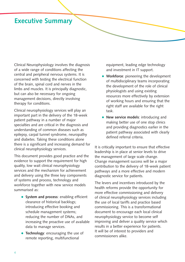### **Executive Summary**

Clinical Neurophysiology involves the diagnosis of a wide range of conditions affecting the central and peripheral nervous systems. It is concerned with testing the electrical function of the brain, spinal cord and nerves in the limbs and muscles. It is principally diagnostic, but can also be necessary for ongoing management decisions, directly involving therapy for conditions.

Clinical neurophysiology services will play an important part in the delivery of the 18-week patient pathway in a number of major specialties and are critical in the diagnosis and understanding of common diseases such as epilepsy, carpal tunnel syndrome, neuropathy and diabetes. Taking these conditions alone there is a significant and increasing demand for clinical neurophysiology services.

This document provides good practice and the evidence to support the requirement for high quality, low wait clinical neurophysiology services and the mechanism for achievement and delivery using the three key components of systems and process, technology and workforce together with new service models summarised as:

- **System and process**: enabling efficient clearance of historical backlogs; introducing effective booking and schedule management systems; reducing the number of DNAs, and increasing the proactive use of available data to manage services.
- **Technology**: encouraging the use of remote reporting, multifunctional

equipment, leading edge technology and investment in IT support.

- **Workforce:** pioneering the development of multidisciplinary teams incorporating the development of the role of clinical physiologists and using existing resources more effectively by extension of working hours and ensuring that the right staff are available for the right task.
- **New service models**: introducing and making better use of one stop clinics and providing diagnostics earlier in the patient pathway associated with clearly defined referral criteria.

It is critically important to ensure that effective leadership is in place at senior levels to drive the management of large scale change. Change management success will be a major contribution to the delivery of 18-week patient pathways and a more effective and modern diagnostic service for patients.

The levers and incentives introduced by the health reforms provide the opportunity for more effective commissioning and delivery of clinical neurophysiology services including the use of local tariffs and practice based commissioning. This is a transformational document to encourage each local clinical neurophysiology service to become self improving and deliver a quality service which results in a better experience for patients. It will be of interest to providers and commissioners alike.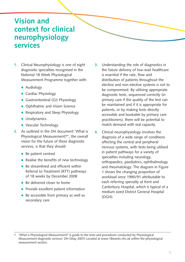### **Vision and context for clinical neurophysiology services**

- **1.** Clinical Neurophysiology is one of eight diagnostic specialties recognised in the National 18 Week Physiological Measurement Programme together with:
	- · Audiology
	- **•** Cardiac Physiology
	- **•** Gastrointestinal (GI) Physiology
	- Ophthalmic and Vision Science
	- Respiratory and Sleep Physiology
	- **·** Urodynamics
	- Vascular Technology.
- **2.** As outlined in the DH document 'What is Physiological Measurement?**<sup>1</sup>** ', the overall vision for the future of these diagnostic services, is that they should:
	- Be patient centred
	- Realise the benefits of new technology
	- Be streamlined and efficient within Referral to Treatment (RTT) pathways of 18 weeks by December 2008
	- Be delivered closer to home
	- Provide excellent patient information
	- Be accessible from primary as well as secondary care.
- **3.** Understanding the role of diagnostics in the future delivery of low-wait healthcare is essential if the rate, flow and distribution of patients throughout the elective and non-elective systems is not to be compromised. By utilising appropriate diagnostic tests, sequenced correctly (in primary care if the quality of the test can be maintained and if it is appropriate for patients, or by making tests directly accessible and bookable by primary care practitioners), there will be potential to match demand with real capacity.
- **4.** Clinical neurophysiology involves the diagnosis of a wide range of conditions affecting the central and peripheral nervous systems, with tests being utilised in patient pathways for a variety of specialties including neurology, orthopaedics, paediatrics, ophthalmology and rheumatology. The diagram in Figure 1 shows the changing proportion of workload since 1990/91 attributable to each referring specialty at Kent and Canterbury Hospital, which is typical of a medium sized District General Hospital (DGH).

<sup>1 &#</sup>x27;What is Physiological Measurement? A guide to the tests and procedures conducted by Physiological Measurement diagnostic services' DH (May 2007) Located at www.18weeks.nhs.uk within the physiological measurement section.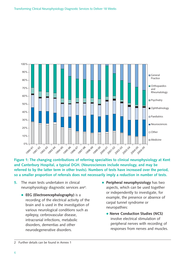

**Figure 1: The changing contributions of referring specialties to clinical neurophysiology at Kent and Canterbury Hospital, a typical DGH. (Neurosciences include neurology, and may be referred to by the latter term in other trusts). Numbers of tests have increased over the period, so a smaller proportion of referrals does not necessarily imply a reduction in number of tests.** 

- **5.** The main tests undertaken in clinical neurophysiology diagnostic services are**<sup>2</sup>** :
	- **EEG (Electroencephalography)** is a recording of the electrical activity of the brain and is used in the investigation of various neurological conditions such as epilepsy, cerbrovascular disease, intracranial infections, metabolic disorders, dementias and other neurodegenerative disorders.
- **Peripheral neurophysiology** has two aspects, which can be used together or independently to investigate, for example, the presence or absence of carpal tunnel syndrome or neuropathies:
	- **Nerve Conduction Studies (NCS)** involve electrical stimulation of peripheral nerves with recording of responses from nerves and muscles.

<sup>2</sup> Further details can be found in Annex 1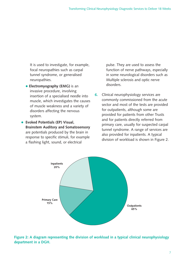It is used to investigate, for example, focal neuropathies such as carpal tunnel syndrome, or generalised neuropathies.

- **Electromyography (EMG)** is an invasive procedure, involving insertion of a specialised needle into muscle, which investigates the causes of muscle weakness and a variety of disorders affecting the nervous system.
- **Evoked Potentials (EP) Visual, Brainstem Auditory and Somatosensory** are potentials produced by the brain in response to specific stimuli, for example a flashing light, sound, or electrical

pulse. They are used to assess the function of nerve pathways, especially in some neurological disorders such as Multiple sclerosis and optic nerve disorders.

**6.** Clinical neurophysiology services are commonly commissioned from the acute sector and most of the tests are provided for outpatients, although some are provided for patients from other Trusts and for patients directly referred from primary care, usually for suspected carpal tunnel syndrome. A range of services are also provided for inpatients. A typical division of workload is shown in Figure 2.



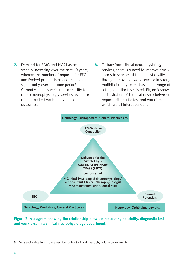- **7.** Demand for EMG and NCS has been steadily increasing over the past 10 years, whereas the number of requests for EEG and Evoked potentials has not changed significantly over the same period**<sup>3</sup>** . Currently there is variable accessibility to clinical neurophysiology services, evidence of long patient waits and variable outcomes.
- **8.** To transform clinical neurophysiology services, there is a need to improve timely access to services of the highest quality, through innovative work practice in strong multidisciplinary teams based in a range of settings for the tests listed. Figure 3 shows an illustration of the relationship between request, diagnostic test and workforce, which are all interdependent.



**Figure 3: A diagram showing the relationship between requesting speciality, diagnostic test and workforce in a clinical neurophysiology department.** 

<sup>3</sup> Data and indications from a number of NHS clinical neurophysiology departments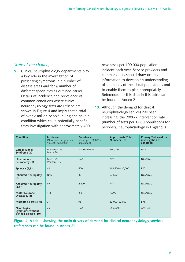#### *Scale of the challenge*

**9.** Clinical neurophysiology departments play a key role in the investigation of presenting symptoms in a number of disease areas and for a number of different specialities as outlined earlier. Details of incidence and prevalence of common conditions where clinical neurophysiology tests are utilised are shown in Figure 4 and imply that a total of over 2 million people in England have a condition which could potentially benefit from investigation with approximately 400

new cases per 100,000 population incident each year. Service providers and commissioners should draw on this information to develop an understanding of the needs of their local populations and to enable them to plan appropriately. References for this data in this table can be found in Annex 2.

**10.** Although the demand for clinical neurophysiology services has been increasing, the 2006-7 intervention rate (number of tests per 1,000 population) for peripheral neurophysiology in England is

| <b>Condition</b>                                         | <b>Incidence</b><br>(New cases per year per<br>100,000 population) | Prevalence<br>(Cases per 100,000 of<br>population) | <b>Approximate Total</b><br>Numbers (UK) | <b>Primary Test used for</b><br>investigation of<br>condition |
|----------------------------------------------------------|--------------------------------------------------------------------|----------------------------------------------------|------------------------------------------|---------------------------------------------------------------|
| <b>Carpal Tunnel</b><br>Syndrome (1)                     | Women - 193<br>$Men - 88$                                          | 7,000-15,000                                       | 600,000                                  | <b>NCS</b>                                                    |
| Ulnar mono-<br>neuropathy (1)                            | $Men - 25$<br>Women $-19$                                          | N/A                                                | N/A                                      | NCS/EMG                                                       |
| Epilepsy (2,3)                                           | 49                                                                 | 500                                                | 182,750-425,000                          | <b>EEG</b>                                                    |
| <b>Inherited Neuropathy</b><br>(4)                       | N/A                                                                | 40                                                 | 23,600                                   | NCS/EMG                                                       |
| <b>Acquired Neuropathy</b><br>(5,6)                      | 69                                                                 | 2,400                                              | N/A                                      | NCS/EMG                                                       |
| <b>Motor Neurone</b><br>Disease (7,8)                    | $1 - 2$                                                            | $4 - 6$                                            | 4,000                                    | NCS/EMG                                                       |
| <b>Multiple Sclerosis (9)</b>                            | 3.4                                                                | 95                                                 | 52,000-62,000                            | <b>EPs</b>                                                    |
| Neurological<br>Symptoms without<br>defined disease (10) | 75                                                                 | N/A                                                | 750,000                                  | Any Test                                                      |

**Figure 4: A table showing the main drivers of demand for clinical neurophysiology services (references can be found in Annex 2).**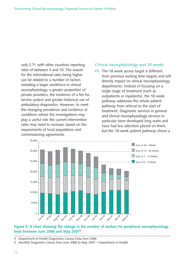only 2.7**<sup>4</sup>** , with other countries reporting rates of between 4 and 10. The reason for the international rates being higher can be related to a number of factors including a larger workforce in clinical neurophysiology, a greater proportion of private providers, the existence of a fee for service system and greater historical use of ambulatory diagnostics. However, to meet the changing prevalence and incidence of conditions where the investigations may play a useful role the current intervention rates may need to increase, based on the requirements of local populations and commissioning agreements.

#### *Clinical neurophysiology and 18 weeks*

**11.** The 18 week access target is different from previous waiting time targets and will directly impact on clinical neurophysiology departments. Instead of focusing on a single stage of treatment (such as outpatients or inpatients), the 18 week pathway addresses the whole patient pathway from referral to the start of treatment. Diagnostic services in general and clinical neurophysiology services in particular have developed long waits and have had less attention placed on them, but the 18-week patient pathway shines a



#### **Figure 5: A chart showing the change in the number of waiters for peripheral neurophysiology tests between June 2006 and May 20075 .**

- 4 Department of Health Diagnostics Census Data from 2006
- 5 Monthly Diagnostic Census from June 2006 to May 2007 Department of Health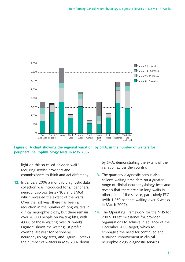

**Figure 6: A chart showing the regional variation, by SHA, in the number of waiters for peripheral neurophysiology tests in May 2007.**

light on this so called "hidden wait" requiring service providers and commissioners to think and act differently.

**12.** In January 2006 a monthly diagnostic data collection was introduced for all peripheral neurophysiology tests (NCS and EMG) which revealed the extent of the waits. Over the last year, there has been a reduction in the number of long waiters in clinical neurophysiology, but there remain over 20,000 people on waiting lists, with 4,000 of those waiting over 26 weeks. Figure 5 shows the waiting list profile overthe last year for peripheral neurophysiology tests, and Figure 6 breaks the number of waiters in May 2007 down

by SHA, demonstrating the extent of the variation across the country.

- **13.** The quarterly diagnostic census also collects waiting time data on a greater range of clinical neurophysiology tests and reveals that there are also long waits in other parts of the service, particularly EEG (with 1,250 patients waiting over 6 weeks in March 2007).
- **14.** The Operating Framework for the NHS for 2007/08 set milestones for provider organisations to achieve in advance of the December 2008 target, which reemphasise the need for continued and sustained improvement in clinical neurophysiology diagnostic services.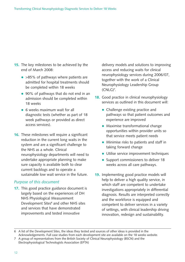- **15.** The key milestones to be achieved by the end of March 2008:
	- > 85% of pathways where patients are admitted for hospital treatments should be completed within 18 weeks
	- 90% of pathways that do not end in an admission should be completed within 18 weeks
	- 6 weeks maximum wait for all diagnostic tests (whether as part of 18 week pathways or provided as direct access services).
- **16.** These milestones will require a significant reduction in the current long waits in the system and are a significant challenge to the NHS as a whole. Clinical neurophysiology departments will need to undertake appropriate planning to make sure capacity is available both to clear current backlogs and to operate a sustainable low wait service in the future.

#### *Purpose of this document*

**17.** This good practice guidance document is largely based on the experiences of DH NHS Physiological Measurement Development Sites**<sup>6</sup>** and other NHS sites and services that have demonstrated improvements and tested innovative

delivery models and solutions to improving access and reducing waits for clinical neurophysiology services during 2006/07, together with the work of a Clinical Neurophysiology Leadership Group (CNLG)**<sup>7</sup>** .

- **18.** Good practice in clinical neurophysiology services as outlined in this document will:
	- Challenge existing practice and pathways so that patient outcomes and experience are improved
	- Maximise transformational change opportunities within provider units so that service meets patient needs
	- Minimise risks to patients and staff in taking forward change
	- Utilise service improvement techniques
	- Support commissioners to deliver 18 weeks across all care pathways.
- **19.** Implementing good practice models will help to deliver a high quality service, in which staff are competent to undertake investigations appropriately in differential diagnosis. Results are interpreted correctly and the workforce is equipped and competent to deliver services in a variety of settings, with clinical leadership driving innovation, redesign and sustainability.

<sup>6</sup> A list of the Development Sites, the ideas they tested and sources of other ideas is provided in the Acknowledgements. Full case studies from each development site are available on the 18 weeks website.

<sup>7</sup> A group of representatives from the British Society of Clinical Neurophysiology (BSCN) and the Electrophysiological Technologists Association (EPTA)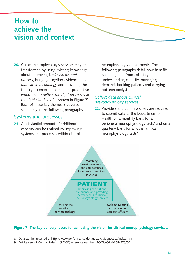### **How to achieve the vision and context**

**20.** Clinical neurophysiology services may be transformed by using existing knowledge about improving NHS *systems and process*, bringing together evidence about *innovative technology* and providing the training to enable a competent productive *workforce to deliver the right processes at the right skill level* (all shown in Figure 7). Each of these key themes is covered separately in the following paragraphs.

#### Systems and processes

**21.** A substantial amount of additional capacity can be realised by improving systems and processes within clinical

neurophysiology departments. The following paragraphs detail how benefits can be gained from collecting data, understanding capacity, managing demand, booking patients and carrying out lean analysis.

#### *Collect data about clinical neurophysiology services*

**22.** Providers and commissioners are required to submit data to the Department of Health on a monthly basis for all peripheral neurophysiology tests**<sup>8</sup>** and on a quarterly basis for all other clinical neurophysiology tests**<sup>9</sup>** .



#### **Figure 7: The key delivery levers for achieving the vision for clinical neurophysiology services.**

8 Data can be accessed at http://www.performance.doh.gov.uk/diagnostics/index.htm

9 DH Review of Central Returns (ROCR) reference number: ROCR/OR/0168/FT6/001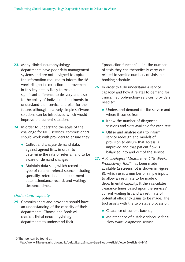- **23.** Many clinical neurophysiology departments have poor data management systems and are not designed to capture the information required to inform the 18 week diagnostic collection. Improvement in this key area is likely to make a significant difference to delivery and also to the ability of individual departments to understand their service and plan for the future, although relatively simple software solutions can be introduced which would improve the current situation.
- **24.** In order to understand the scale of the challenge for NHS services, commissioners should work with providers to ensure they:
	- Collect and analyse demand data, against agreed lists, in order to determine the rate of referral, and to be aware of demand changes
	- Maintain data sets, which record the type of referral, referral source including speciality, referral date, appointment date, attendance record, and waiting/ clearance times.

#### *Understand capacity*

**25.** Commissioners and providers should have an understanding of the capacity of their departments. Choose and Book will require clinical neurophysiology departments to understand their

"production function" – i.e. the number of tests they can theoretically carry out, related to specific numbers of slots in a booking schedule.

- **26.** In order to fully understand a service capacity and how it relates to demand for clinical neurophysiology services, providers need to:
	- Understand demand for the service and where it comes from
	- Know the number of diagnostic sessions and slots available for each test
	- Utilise and analyse data to inform service redesign and models of provision to ensure that access is improved and that patient flow is balanced into and out of the service.
- **27.** A *Physiological Measurement 18 Weeks Productivity Tool***<sup>10</sup>** has been made available (a screenshot is shown in Figure 8), which uses a number of simple inputs to allow an estimate to be made of departmental capacity. It then calculates clearance times based upon the services' current waiting list and an estimate of potential efficiency gains to be made. The tool assists with the two stage process of:
	- Clearance of current backlog
	- Maintenance of a stable schedule for a "low wait" diagnostic service.

<sup>10</sup> The tool can be found at: http://www.18weeks.nhs.uk/public/default.aspx?main=true&load=ArticleViewer&ArticleId=945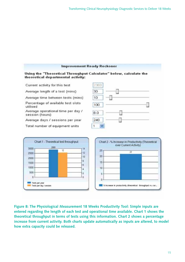



**Figure 8: The Physiological Measurement 18 Weeks Productivity Tool: Simple inputs are entered regarding the length of each test and operational time available. Chart 1 shows the theoretical throughput in terms of tests using this information. Chart 2 shows a percentage increase from current activity. Both charts update automatically as inputs are altered, to model how extra capacity could be released.**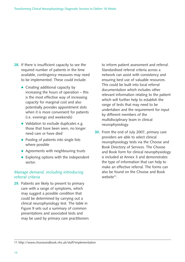- **28.** If there is insufficient capacity to see the required number of patients in the time available, contingency measures may need to be implemented. These could include:
	- Creating additional capacity by increasing the hours of operation – this is the most effective way of increasing capacity for marginal cost and also potentially provides appointment slots when it is more convenient for patients (i.e. evenings and weekends)
	- Validation to exclude duplicates e.g. those that have been seen, no longer need care or have died
	- Pooling of patients into single lists where possible
	- Agreements with neighbouring trusts
	- Exploring options with the independent sector.

#### *Manage demand, including introducing referral criteria*

**29.** Patients are likely to present to primary care with a range of symptoms, which may suggest a possible condition that could be determined by carrying out a clinical neurophysiology test. The table in Figure 9 sets out a summary of common presentations and associated tests and may be used by primary care practitioners to inform patient assessment and referral. Standardised referral criteria across a network can assist with consistency and ensuring best use of valuable resources. This could be built into local referral documentation which includes other relevant information relating to the patient which will further help to establish the range of tests that may need to be undertaken and the requirement for input by different members of the multidisciplinary team in clinical neurophysiology.

**30.** From the end of July 2007, primary care providers are able to select clinical neurophysiology tests via the Choose and Book Directory of Services. The Choose and Book form for clinical neurophysiology is included at Annex 3 and demonstrates the type of information that can help to make an effective referral. The forms can also be found on the Choose and Book website**11**.

<sup>11</sup> http://www.chooseandbook.nhs.uk/staff/implementation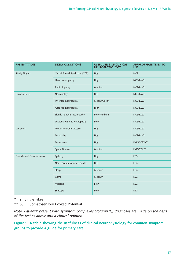| <b>PRESENTATION</b>               | <b>LIKELY CONDITIONS</b>           | <b>USEFULNESS OF CLINICAL</b><br><b>NEUROPHYSIOLOGY</b> | <b>APPPROPRIATE TESTS TO</b><br><b>USE</b> |
|-----------------------------------|------------------------------------|---------------------------------------------------------|--------------------------------------------|
| <b>Tingly Fingers</b>             | Carpal Tunnel Syndrome (CTS)       | High                                                    | <b>NCS</b>                                 |
|                                   | <b>Ulnar Neuropathy</b>            | High                                                    | NCS/EMG                                    |
|                                   | Radiculopathy                      | Medium                                                  | NCS/EMG                                    |
| Sensory Loss                      | Neuropathy                         | High                                                    | NCS/EMG                                    |
|                                   | Inherited Neuropathy               | Medium/High                                             | NCS/EMG                                    |
|                                   | Acquired Neuropathy                | High                                                    | NCS/EMG                                    |
|                                   | <b>Elderly Patients Neuropathy</b> | Low/Medium                                              | NCS/EMG                                    |
|                                   | Diabetic Patients Neuropathy       | Low                                                     | NCS/EMG                                    |
| Weakness                          | Motor Neurone Disease              | High                                                    | NCS/EMG                                    |
|                                   | Myopathy                           | High                                                    | NCS/EMG                                    |
|                                   | Myasthenia                         | High                                                    | EMG/sfEMG*                                 |
|                                   | Spinal Disease                     | Medium                                                  | EMG/SSEP**                                 |
| <b>Disorders of Consciousness</b> | Epilepsy                           | High                                                    | EEG                                        |
|                                   | Non-Epileptic Attack Disorder      | High                                                    | EEG                                        |
|                                   | Sleep                              | Medium                                                  | EEG                                        |
|                                   | Coma                               | Medium                                                  | EEG                                        |
|                                   | Migrane                            | Low                                                     | <b>EEG</b>                                 |
|                                   | Syncope                            | Low                                                     | EEG                                        |

\* sf: Single Fibre

\*\* SSEP: Somatosensory Evoked Potential

*Note. Patients' present with symptom complexes [column 1]; diagnoses are made on the basis of the test as above and a clinical opinion*

**Figure 9: A table showing the usefulness of clinical neurophysiology for common symptom groups to provide a guide for primary care.**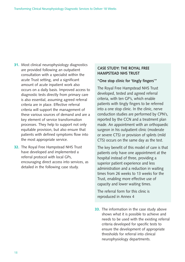- **31.** Most clinical neurophysiology diagnostics are provided following an outpatient consultation with a specialist within the acute Trust setting, and a significant amount of acute inpatient work also occurs on a daily basis. Improved access to diagnostic tests directly from primary care is also essential, assuming agreed referral criteria are in place. Effective referral criteria will support the management of these various sources of demand and are a key element of service transformation processes. They help to support not only equitable provision, but also ensure that patients with defined symptoms flow into the most appropriate service.
- **32.** The Royal Free Hampstead NHS Trust have developed and implemented a referral protocol with local GPs, encouraging direct access into services, as detailed in the following case study.

#### **CASE STUDY: THE ROYAL FREE HAMPSTEAD NHS TRUST**

#### **"One stop clinic for 'tingly fingers'"**

The Royal Free Hampstead NHS Trust developed, tested and agreed referral criteria, with ten GP's, which enable patients with tingly fingers to be referred into a one stop clinic. In the clinic, nerve conduction studies are performed by CPN's, reported by the CCN and a treatment plan made. An appointment with an orthopaedic surgeon in his outpatient clinic (moderate or severe CTS) or provision of splints (mild CTS) occurs on the same day as the test.

The key benefit of this model of care is that patients only have one appointment at the hospital instead of three, providing a superior patient experience and less administration and a reduction in waiting times from 26 weeks to 13 weeks for the Trust, enabling more effective use of capacity and lower waiting times.

The referral form for this clinic is reproduced in Annex 4

**33.** The information in the case study above shows what it is possible to achieve and needs to be used with the existing referral criteria developed for specific tests to ensure the development of appropriate thresholds for referral into clinical neurophysiology departments.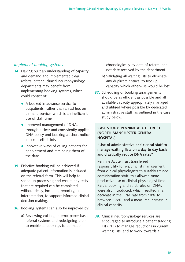#### *Implement booking systems*

- **34.** Having built an understanding of capacity and demand and implemented clear referral criteria, clinical neurophysiology departments may benefit from implementing booking systems, which could consist of:
	- A booked in advance service to outpatients, rather than an ad hoc on demand service, which is an inefficient use of staff time
	- Improved management of DNAs through a clear and consistently applied DNA policy and booking at short notice into cancelled slots
	- Innovative ways of calling patients for appointment and reminding them of the date.
- **35.** Effective booking will be achieved if adequate patient information is included on the referral form. This will help to speed up processing and ensure any tests that are required can be completed without delay, including reporting and interpretation, to support informed clinical decision making.
- **36.** Booking systems can also be improved by:
	- a) Reviewing existing internal paper-based referral systems and redesigning them to enable all bookings to be made

chronologically by date of referral and not date received by the department

- b) Validating all waiting lists to eliminate any duplicate entries, to free up capacity which otherwise would be lost.
- **37.** Scheduling or booking arrangements should be as efficient as possible and all available capacity appropriately managed and utilised where possible by dedicated administrative staff, as outlined in the case study below.

#### **CASE STUDY: PENNINE ACUTE TRUST (NORTH MANCHESTER GENERAL HOSPITAL)**

**"Use of administrative and clerical staff to manage waiting lists on a day to day basis and drastically reduce DNA rates"**

Pennine Acute Trust transferred responsibility for waiting list management from clinical physiologists to suitably trained administration staff; this allowed more productive use of clinical physiologist time. Partial booking and strict rules on DNAs were also introduced, which resulted in a decrease in the DNA rate from 18% to between 3-5%, and a measured increase in clinical capacity.

**38.** Clinical neurophysiology services are encouraged to introduce a patient tracking list (PTL) to manage reductions in current waiting lists, and to work towards a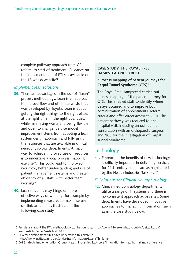complete pathway approach from GP referral to start of treatment. Guidance on the implementation of PTLs is available on the 18 weeks website**12**.

#### *Implement lean solutions*

- **39.** There are advantages in the use of "Lean" process methodology. Lean is an approach to improve flow and eliminate waste that was developed by Toyota. Lean is about getting the right things to the right place, at the right time, in the right quantities, while minimising waste and being flexible and open to change. Service model improvement stems from adopting a lean system design approach and fully using the resources that are available in clinical neurophysiology departments. A major way to achieve improved use of resources is to undertake a local process mapping exercise**13**. This could lead to improved workflow, better understanding and use of patient management systems and greater efficiency of all staff, with better team working**14**.
- **40.** Lean solutions may hinge on more effective ways of working, for example by implementing measures to maximise use of clinician time, as illustrated in the following case study.

#### **CASE STUDY: THE ROYAL FREE HAMPSTEAD NHS TRUST**

#### **"Process mapping of patient journeys for Carpal Tunnel Syndrome (CTS)"**

The Royal Free Hampstead carried out process mapping of the patient journey for CTS. This enabled staff to identify where delays occurred and to improve both administration of appointments, referral criteria and offer direct access to GP's. The patient pathway was reduced to one hospital visit, including an outpatient consultation with an orthopaedic surgeon and NCS for the investigation of Carpal Tunnel Syndrome.

#### **Technology**

**41.** Embracing the benefits of new technology is critically important in delivering services for 21st century healthcare as highlighted by the Health Industries Taskforce<sup>15</sup>.

#### *IT Solutions for Clinical Neurophysiology*

**42.** Clinical neurophysiology departments utilise a range of IT systems and there is no consistent approach across sites. Some departments have developed innovative approaches to managing information, such as in the case study below:

<sup>12</sup> Full details about the PTL methodology can be found at http://www.18weeks.nhs.uk/public/default.aspx? load=ArticleViewer&ArticleId=947

<sup>13</sup> Several development sites have undertaken this exercise

<sup>14</sup> http://www.institute.nhs.uk/ServiceTransformation/Lean+Thinking/

<sup>15</sup> DH Strategic Implementation Group, Health Industries Taskforce 'Innovation for health: making a difference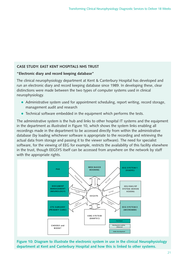#### **CASE STUDY: EAST KENT HOSPITALS NHS TRUST**

#### **"Electronic diary and record keeping database"**

The clinical neurophysiology department at Kent & Canterbury Hospital has developed and run an electronic diary and record keeping database since 1989. In developing these, clear distinctions were made between the two types of computer systems used in clinical neurophysiology.

- Administrative system used for appointment scheduling, report writing, record storage, management audit and research
- Technical software embedded in the equipment which performs the tests.

The administrative system is the hub and links to other hospital IT systems and the equipment in the department as illustrated in Figure 10, which shows the system links enabling all recordings made in the department to be accessed directly from within the administrative database (by loading whichever software is appropriate to the recording and retrieving the actual data from storage and passing it to the viewer software). The need for specialist software, for the viewing of EEG for example, restricts the availability of this facility elsewhere in the trust, though EEGSYS itself can be accessed from anywhere on the network by staff with the appropriate rights.



**Figure 10: Diagram to illustrate the electronic system in use in the clinical Neurophysiology department at Kent and Canterbury Hospital and how this is linked to other systems.**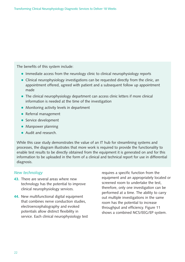The benefits of this system include:

- Immediate access from the neurology clinic to clinical neurophysiology reports
- Clinical neurophysiology investigations can be requested directly from the clinic, an appointment offered, agreed with patient and a subsequent follow up appointment made
- The clinical neurophysiology department can access clinic letters if more clinical information is needed at the time of the investigation
- Monitoring activity levels in department
- Referral management
- **•** Service development
- **Manpower planning**
- Audit and research.

While this case study demonstrates the value of an IT hub for streamlining systems and processes, the diagram illustrates that more work is required to provide the functionality to enable test results to be directly obtained from the equipment it is generated on and for this information to be uploaded in the form of a clinical and technical report for use in differential diagnosis.

#### *New technology*

- **43.** There are several areas where new technology has the potential to improve clinical neurophysiology services.
- **44.** New multifunctional digital equipment that combines nerve conduction studies, electroencephalography and evoked potentials allow distinct flexibility in service. Each clinical neurophysiology test

requires a specific function from the equipment and an appropriately located or screened room to undertake the test, therefore, only one investigation can be performed at a time. The ability to carry out multiple investigations in the same room has the potential to increase throughput and efficiency. Figure 11 shows a combined NCS/EEG/EP system.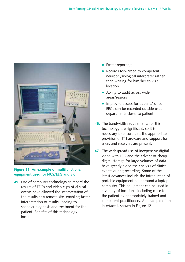

#### **Figure 11: An example of multifunctional equipment used for NCS/EEG and EP.**

**45.** Use of computer technology to record the results of EEGs and video clips of clinical events have allowed the interpretation of the results at a remote site, enabling faster interpretation of results, leading to speedier diagnosis and treatment for the patient. Benefits of this technology include:

- $\bullet$ Faster reporting
- Records forwarded to competent neurophysiological interpreter rather than waiting for him/her to visit location
- Ability to audit across wider areas/regions
- **·** Improved access for patients' since EEGs can be recorded outside usual departments closer to patient.
- **46.** The bandwidth requirements for this technology are significant, so it is necessary to ensure that the appropriate provision of IT hardware and support for users and receivers are present.
- **47.** The widespread use of inexpensive digital video with EEG and the advent of cheap digital storage for large volumes of data have greatly aided the analysis of clinical events during recording. Some of the latest advances include the introduction of portable equipment built around a laptop computer. This equipment can be used in a variety of locations, including close to the patient by appropriately trained and competent practitioners. An example of an interface is shown in Figure 12.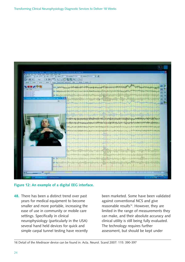

#### **Figure 12: An example of a digital EEG interface.**

**48.** There has been a distinct trend over past years for medical equipment to become smaller and more portable, increasing the ease of use in community or mobile care settings. Specifically in clinical neurophysiology (particularly in the USA) several hand held devices for quick and simple carpal tunnel testing have recently

been marketed. Some have been validated against conventional NCS and give reasonable results<sup>16</sup>. However, they are limited in the range of measurements they can make, and their absolute accuracy and clinical utility is still being fully evaluated. The technology requires further assessment, but should be kept under

16 Detail of the Mediracer device can be found in: Acta. Neurol. Scand 2007: 115: 390-397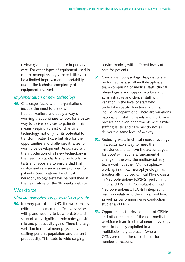review given its potential use in primary care. For other types of equipment used in clinical neurophysiology there is likely to be a limited improvement in portability due to the technical complexity of the equipment involved.

#### *Implementation of new technology*

**49.** Challenges faced within organisations include the need to break with tradition/culture and apply a way of working that continues to look for a better way to deliver services to patients. This means keeping abreast of changing technology, not only for its potential to transform patient care but also for the opportunities and challenges it raises for workforce development. Associated with the introduction of all new technology is the need for standards and protocols for tests and reporting to ensure that high quality and safe services are provided for patients. Specifications for clinical neurophysiology tests will be published in the near future on the 18 weeks website.

#### **Workforce**

#### *Clinical neurophysiology workforce profile*

**50.** In every part of the NHS, the workforce is critical in implementing effective services with plans needing to be affordable and supported by significant role redesign, skill mix and productivity gains. There is a large variation in clinical neurophysiology staffing per unit population and per unit productivity. This leads to wide ranging

service models, with different levels of care for patients.

- **51.** Clinical neurophysiology diagnostics are performed by a small multidisciplinary team comprising of medical staff, clinical physiologists and support workers and administrative and clerical staff with variation in the level of staff who undertake specific functions within an individual department. There are variations nationally in staffing levels and workforce profiles and even departments with similar staffing levels and case mix do not all deliver the same level of activity.
- **52.** Reducing waits in clinical neurophysiology in a sustainable way to meet the milestones and achieve the access targets for 2008 will require a fundamental change in the way the multidisciplinary team work together. Multidisciplinary working in clinical neurophysiology has traditionally involved Clinical Physiologists in Neurophysiology [CP(N)s] performing EEGs and EPs, with Consultant Clinical Neurophysiologists [CCNs] interpreting results in relation to the clinical problem, as well as performing nerve conduction studies and EMG
- **53.** Opportunities for development of CP(N)s and other members of the non-medical workforce team in clinical neurophysiology need to be fully exploited in a multidisciplinary approach (where CCNs are often the clinical lead) for a number of reasons: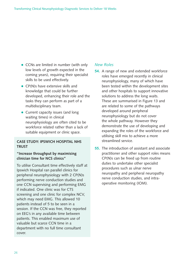- CCNs are limited in number (with only low levels of growth expected in the coming years), requiring their specialist skills to be used effectively.
- CP(N)s have extensive skills and knowledge that could be further developed, enhancing their role and the tasks they can perform as part of a multidisciplinary team.
- Current capacity issues (and long waiting times) in clinical neurophysiology are often cited to be workforce related rather than a lack of suitable equipment or clinic space.

#### **CASE STUDY: IPSWICH HOSPITAL NHS TRUST**

#### **"Increase throughput by maximising clinician time for NCS clinics"**

To utilise Consultant time effectively staff at Ipswich Hospital ran parallel clinics for peripheral neurophysiology with 2 CP(N)s performing nerve conduction studies and one CCN supervising and performing EMG if indicated. One clinic was for CTS screening and one clinic for complex NCV, which may need EMG. This allowed 10 patients instead of 5 to be seen in a session. If the CCN was free, they reported on EEG's in any available time between patients. This enabled maximum use of valuable but scarce CCN time in a department with no full time consultant cover.

#### *New Roles*

- **54.** A range of new and extended workforce roles have emerged recently in clinical neurophysiology, many of which have been tested within the development sites and other hospitals to support innovative solutions to address the long waits. These are summarised in Figure 13 and are related to some of the pathways developed around peripheral neurophysiology but do not cover the whole pathway. However they demonstrate the use of developing and expanding the roles of the workforce and utilising skill mix to achieve a more streamlined service.
- **55.** The introduction of assistant and associate practitioner and other support roles means CP(N)s can be freed up from routine duties to undertake other specialist procedures such as ulnar nerve neuropathy and peripheral neuropathy nerve conduction studies, and intraoperative monitoring (IOM).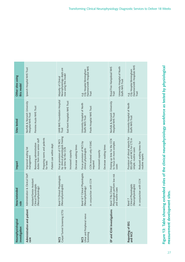| Neurophysiological<br>investigation         | New/extended<br><u>P</u>                                      | Impact                                                                                    | Sites tested                                                          | Other sites using<br>this model                                           |
|---------------------------------------------|---------------------------------------------------------------|-------------------------------------------------------------------------------------------|-----------------------------------------------------------------------|---------------------------------------------------------------------------|
| Administration and patient<br>care          | Administration & Clerical Staff<br>Assistant/Senior Assistant | Improved waiting list<br>management                                                       | Norfolk & Norwich University<br>Hospital NHS Trust                    | Ipswich Hospital NHS Trust                                                |
|                                             | Clinical Physiologists<br>(Neurophysiology)                   | duties from more senior staff<br>Removing administration                                  | Pennine Acute NHS Trust                                               |                                                                           |
|                                             |                                                               | Preparing rooms and patients<br>for tests                                                 |                                                                       |                                                                           |
|                                             |                                                               | Patient care within dept                                                                  |                                                                       |                                                                           |
| Carpal Tunnel Screening (CTS)<br><b>NCS</b> | <b>Band 5 Clinical Physiologists</b><br>(Neurophysiologists)  | by clinical physiologists freeing<br>Focus provision of CTS NCS<br>up time for the CCN    | UHB NHS Foundation Hospital<br>East Kent Hospitals NHS Trust<br>Trust | Neurophysiology depts are<br>now using this model<br>Majority of Clinical |
|                                             |                                                               | Decrease waiting times<br>Increased capacity                                              |                                                                       |                                                                           |
| Ulnar and Peripheral nerve<br><b>NCS</b>    | Band 6/7 Clinical Physiologists<br>(Neurophysiology)          | Focus provision of NCS by<br>clinical physiologists                                       | University Hospital of North<br>Staffs NHS Trust                      | Hammersmith Hospital NHS<br>e.g.<br>City Hospital Birmingham              |
| Screening                                   | In conjunction with CCN                                       | CCN involved only if EMG<br>required                                                      | Poole Hospital NHS Trust                                              | Trust                                                                     |
|                                             |                                                               | Increased capacity                                                                        |                                                                       |                                                                           |
|                                             |                                                               | Decrease waiting times                                                                    |                                                                       |                                                                           |
| EP and IOM Investigations                   | Physiologists perform low risk<br>Band 7/8a Clinical          | Freeing up time for the CCN<br>to focus on more complex                                   | Norfolk & Norwich University<br>Hospital NHS Trust                    | Royal Free Hampstead NHS<br>Trust                                         |
|                                             | routine cases<br>and                                          | cases                                                                                     |                                                                       | University Hospital of North<br>Staffs NHS Trust                          |
| Reporting of EEG<br>and NCS                 | Clinical Physiologists<br>(Neurophysiologists)<br>Band 7      | Provision of clinical reports for<br>EEG/EP's and NCS for CTS in<br>simple, routine cases | University Hospital of North<br>Staffs NHS Trust                      | Hammersmith Hospitals NHS<br>e.g.<br>City Hospital Birmingham<br>Trust    |
|                                             | In conjunction with CCN                                       | Reduced waiting times for<br>routine reports                                              |                                                                       |                                                                           |

Figure 13: Table showing extended roles of the clinical neurophysiology workforce as tested by physiological **Figure 13: Table showing extended roles of the clinical neurophysiology workforce as tested by physiological** measurement development sites. **measurement development sites.**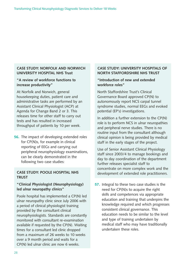#### **CASE STUDY: NORFOLK AND NORWICH UNIVERSITY HOSPITAL NHS Trust**

#### **"A review of workforce functions to increase productivity"**

At Norfolk and Norwich, general housekeeping duties, patient care and administrative tasks are performed by an Assistant Clinical Physiologist (ACP) at Agenda for Change Band 2 or 3. This releases time for other staff to carry out tests and has resulted in increased throughput of patients by 10 per week.

**56.** The impact of developing extended roles for CP(N)s, for example in clinical reporting of EEGs and carrying out peripheral neurophysiology examinations, can be clearly demonstrated in the following two case studies:

## **TRUST**

#### **"Clinical Physiologist (Neurophysiology) led ulnar neuropathy clinics"**

Poole hospital has implemented a CP(N) led ulnar neuropathy clinic since July 2006 with a period of clinical physiologist training provided by the consultant clinical neurophysiologists. Standards are constantly monitored with consultant re-examination available if requested by the CP(N). Waiting times for a consultant led clinic dropped from a maximum of 26 weeks to 10 weeks over a 9 month period and waits for a CP(N) led ulnar clinic are now 6 weeks.

#### **CASE STUDY: UNIVERSITY HOSPITALS OF NORTH STAFFORDSHIRE NHS TRUST**

#### **"Introduction of new and extended workforce roles"**

North Staffordshire Trust's Clinical Governance Board approved CP(N) to autonomously report NCS carpal tunnel syndrome studies, normal EEGs and evoked potential (EP's) investigations.

In addition a further extension to the CP(N) role is to perform NCS in ulnar neuropathies and peripheral nerve studies. There is no routine input from the consultant although clinical opinion is being provided by medical staff in the early stages of the project.

Use of Senior Assistant Clinical Physiology staff since 2003/4 to manage bookings and day to day coordination of the department further releases specialist staff to concentrate on more complex work and the **CASE STUDY: POOLE HOSPITAL NHS** development of extended role practitioners.

> **57.** Integral to these two case studies is the need for CP(N)s to acquire the right skills and competences via appropriate education and training that underpins the knowledge required and which progresses consistent clinical governance. This education needs to be similar to the level and type of training undertaken by medical staff who may have traditionally undertaken these roles.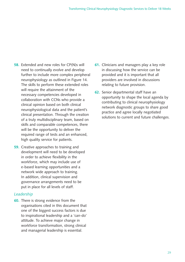- **58.** Extended and new roles for CP(N)s will need to continually evolve and develop further to include more complex peripheral neurophysiology as outlined in Figure 14. The skills to perform these extended roles will require the attainment of the necessary competencies developed in collaboration with CCNs who provide a clinical opinion based on both clinical neurophysiological data and the patient's clinical presentation. Through the creation of a truly multidisciplinary team, based on skills and comparable competences, there will be the opportunity to deliver the required range of tests and an enhanced, high quality service for patients.
- **59.** Creative approaches to training and development will need to be developed in order to achieve flexibility in the workforce, which may include use of e-based learning opportunities and a network wide approach to training. In addition, clinical supervision and governance arrangements need to be put in place for all levels of staff.

#### *Leadership*

**60.** There is strong evidence from the organisations cited in this document that one of the biggest success factors is due to inspirational leadership and a 'can-do' attitude. To achieve major change in workforce transformation, strong clinical and managerial leadership is essential.

- **61.** Clinicians and managers play a key role in discussing how the service can be provided and it is important that all providers are involved in discussions relating to future provision.
- **62.** Senior departmental staff have an opportunity to shape the local agenda by contributing to clinical neurophysiology network diagnostic groups to share good practice and agree locally negotiated solutions to current and future challenges.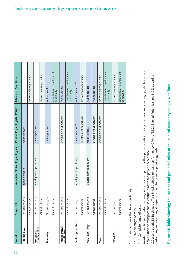| Procedure                    | Stage of test          | Associate Clinical Physiologists | Clinical Physiologists, CP(N)s | <b>Advanced Practitioner</b>                |
|------------------------------|------------------------|----------------------------------|--------------------------------|---------------------------------------------|
| Routine EEG                  | Test and analysis      | routine practice                 | routine practice               |                                             |
|                              | Clinical opinion       |                                  |                                | development opportunity                     |
| Prolonged/<br>complex EEG    | Test and analysis      | development opportunity          | routine practice               |                                             |
|                              | mo.<br>Clinical opini  |                                  |                                | development opportunity                     |
| Telemetry                    | Test and analysis      |                                  | routine practice*              | routine practice*                           |
|                              | noi.<br>Clinical opini |                                  |                                | special interest development<br>opportunity |
| Intraoperative<br>monitoring | Test and analysis      |                                  | development opportunity        | routine practice*                           |
|                              | Clinical opinion       |                                  |                                | special interest development<br>opportunity |
| Evoked potentials            | Test and analysis      | development opportunity          | routine practice**             | routine practice***                         |
|                              | lon<br>Clinical opini  |                                  | development opportunity        | development opportunity                     |
| NCS (CTS Only)               | Test and analysis      | development opportunity          | routine practice               | routine practice                            |
|                              | noi.<br>Clinical opini |                                  | development opportunity        | routine practice                            |
| SON                          | Test and analysis      |                                  | development opportunity        | development opportunity                     |
|                              | Clinical opinion       |                                  |                                | special interest development<br>opportunity |
| <b>NCS/EMG</b>               | Test and analysis      |                                  |                                | development opportunity                     |
|                              | Clinical opinion       |                                  |                                | special interest development<br>opportunity |

In departments that have this facility  $*$  In departments that have this facility  $*$ 

Limited range of tests \*\* Limited range of tests  $* *$ 

\*\*\* Complete range of tests \*\*\* Complete range of tests

Assistant Practitioners perform a range of tasks in support of other professionals including chaperoning, clearing up, electrode care, Assistant Practitioners perform a range of tasks in support of other professionals including chaperoning, clearing up, electrode care, organisation of transport and so contributing to the patient experience. organisation of transport and so contributing to the patient experience.

CCNs and Specialist Registrars offer clinical opinons on tests performed by CP(N)s (EEGs, Evoked Potentials and NCS) as well as CCNs and Specialist Registrars offer clinical opinons on tests performed by CP(N)s (EEGs, Evoked Potentials and NCS) as well as performing and reporting all aspects of peripherial neurophysiology tests. performing and reporting all aspects of peripherial neurophysiology tests.

Figure 14: Table showing the current and potential roles of the clinical neurophysiology workforce. **Figure 14: Table showing the current and potential roles of the clinical neurophysiology workforce.**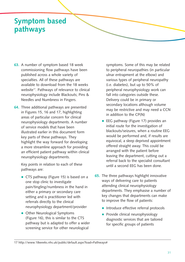## **Symptom based pathways**

- **63.** A number of symptom based 18 week commissioning flow pathways have been published across a whole variety of specialties. All of these pathways are available to download from the 18 weeks website<sup>17</sup>. Pathways of relevance to clinical neurophysiology include Blackouts; Pins & Needles and Numbness in Fingers.
- **64.** Three additional pathways are presented in Figures 15, 16 and 17, highlighting areas of particular concern for clinical neurophysiology departments. A number of service models that have been illustrated earlier in this document form key parts of these pathways. They highlight the way forward for developing a more streamline approach for providing an efficient patient pathway within clinical neurophysiology departments.

Key points in relation to each of these pathways are:

- CTS pathway (Figure 15) is based on a one stop clinic to investigate pain/tingling/numbness in the hand in either a primary or secondary care setting and is practitioner led with referrals directly to the clinical neurophysiology department/provider
- Other Neurological Symptoms (Figure 16), this is similar to the CTS pathway but is adapted to offer a wider screening service for other neurological

symptoms. Some of this may be related to peripheral neuropathies (in particular ulnar entrapment at the elbow) and various types of peripheral neuropathy (i.e. diabetes), but up to 50% of peripheral neurophysiology work can fall into categories outside these. Delivery could be in primary or secondary locations although volume may be restrictive and may need a CCN in addition to the CP(N)

- EEG pathway (Figure 17) provides an initial route for the investigation of blackouts/seizures, when a routine EEG would be performed and, if results are equivocal, a sleep deprived appointment offered straight away. This could be arranged with the patient before leaving the department, cutting out a referral back to the specialist consultant until a second EEG has been done.
- **65.** The three pathways highlight innovative ways of delivering care to patients attending clinical neurophysiology departments. They emphasise a number of key changes that departments can make to improve the flow of patients:
	- Introduce effective referral protocols
	- Provide clinical neurophysiology diagnostic services that are tailored for specific groups of patients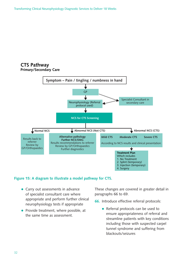#### **CTS Pathway Primary/Secondary Care**



#### **Figure 15: A diagram to illustrate a model pathway for CTS.**

- Carry out assessments in advance of specialist consultant care where appropriate and perform further clinical neurophysiology tests if appropriate
- Provide treatment, where possible, at the same time as assessment.

These changes are covered in greater detail in paragraphs 66 to 69.

- **66.** Introduce effective referral protocols:
	- Referral protocols can be used to ensure appropriateness of referral and streamline patients with key conditions including those with suspected carpel tunnel syndrome and suffering from blackouts/seizures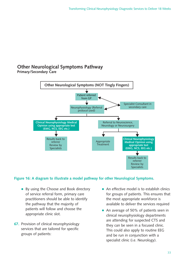#### **Other Neurological Symptoms Pathway Primary/Secondary Care**



#### **Figure 16: A diagram to illustrate a model pathway for other Neurological Symptoms.**

- By using the Choose and Book directory of service referral form, primary care practitioners should be able to identify the pathway that the majority of patients will follow and choose the appropriate clinic slot.
- **67.** Provision of clinical neurophysiology services that are tailored for specific groups of patients:
- An effective model is to establish clinics for groups of patients. This ensures that the most appropriate workforce is available to deliver the services required
- An average of 50% of patients seen in clinical neurophysiology departments are attending for suspected CTS and they can be seen in a focused clinic. This could also apply to routine EEG and be run in conjunction with a specialist clinic (i.e. Neurology).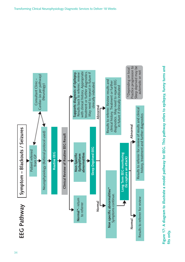

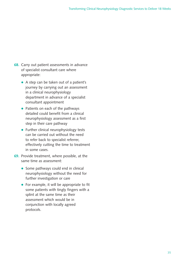- **68.** Carry out patient assessments in advance of specialist consultant care where appropriate:
	- A step can be taken out of a patient's journey by carrying out an assessment in a clinical neurophysiology department in advance of a specialist consultant appointment
	- Patients on each of the pathways detailed could benefit from a clinical neurophysiology assessment as a first step in their care pathway
	- Further clinical neurophysiology tests can be carried out without the need to refer back to specialist referrer, effectively cutting the time to treatment in some cases.
- **69.** Provide treatment, where possible, at the same time as assessment:
	- Some pathways could end in clinical neurophysiology without the need for further investigation or care
	- For example, it will be appropriate to fit some patients with tingly fingers with a splint at the same time as their assessment which would be in conjunction with locally agreed protocols.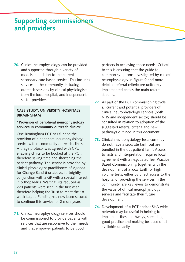### **Supporting commissioners and providers**

**70.** Clinical neurophysiology can be provided and supported through a variety of models in addition to the current secondary care based service. This includes services in the community, including outreach sessions by clinical physiologists from the local hospital, and independent sector providers.

#### **CASE STUDY: UNIVERSITY HOSPITALS BIRMINGHAM**

#### **"Provision of peripheral neurophysiology services in community outreach clinics"**

One Birmingham PCT has funded the provision of a peripheral neurophysiology service within community outreach clinics. A triage protocol was agreed with GPs, enabling clinics to be booked at the PCT, therefore saving time and shortening the patient pathway. The service is provided by clinical physiologist practitioners of Agenda for Change Band 6 or above, fortnightly, in conjunction with a GP with a special interest in orthopaedics. Waiting lists reduced as 220 patients were seen in the first year, therefore helping the Trust to meet the 18 week target. Funding has now been secured to continue this service for 2 more years.

**71.** Clinical neurophysiology services should be commissioned to provide patients with services that are responsive to their needs and that empower patients to be good

partners in achieving those needs. Critical to this is ensuring that the guide to common symptoms investigated by clinical neurophysiology in Figure 9 and more detailed referral criteria are uniformly implemented across the main referral streams.

- **72.** As part of the PCT commissioning cycle, all current and potential providers of clinical neurophysiology services (both NHS and independent sector) should be consulted in relation to adoption of the suggested referral criteria and new pathways outlined in this document.
- **73.** Clinical neurophysiology tests currently do not have a separate tariff but are bundled in the out patient tariff. Access to tests and interpretation requires local agreement with a negotiated fee. Practice Based Commissioning together with the development of a local tariff for high volume tests, either by direct access to the hospital or providing the services in the community, are key levers to demonstrate the value of clinical neurophysiology services and facilitate their future development.
- **74.** Development of a PCT and/or SHA wide network may be useful in helping to implement these pathways, spreading good practice and making best use of all available capacity.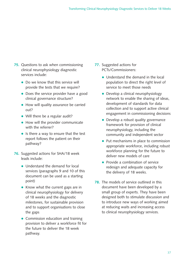- **75.** Questions to ask when commissioning clinical neurophysiology diagnostic services include:
	- Do we know that this service will provide the tests that we require?
	- Does the service provider have a good clinical governance structure?
	- How will quality assurance be carried out?
	- Will there be a regular audit?
	- How will the provider communicate with the referrer?
	- Is there a way to ensure that the test report follows the patient on their pathway?
- **76.** Suggested actions for SHA/18 week leads include:
	- Understand the demand for local services (paragraphs 9 and 10 of this document can be used as a starting point)
	- Know what the current gaps are in clinical neurophysiology for delivery of 18 weeks and the diagnostic milestones, for sustainable provision and to support organisations to close the gaps
	- Commission education and training provision to deliver a workforce fit for the future to deliver the 18 week pathway.
- **77.** Suggested actions for PCTs/Commissioners:
	- Understand the demand in the local population to direct the right level of service to meet those needs
	- Develop a clinical neurophysiology network to enable the sharing of ideas, development of standards for data collection and to support active clinical engagement in commissioning decisions
	- Develop a robust quality governance framework for provision of clinical neurophysiology, including the community and independent sector
	- Put mechanisms in place to commission appropriate workforce, including robust workforce planning for the future to deliver new models of care
	- Provide a combination of service redesign and adequate capacity for the delivery of 18 weeks.
- **78.** The models of service outlined in this document have been developed by a small group of experts. They have been designed both to stimulate discussion and to introduce new ways of working aimed at reducing waits and increasing access to clinical neurophysiology services.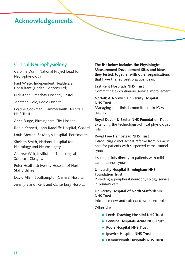### **Acknowledgements**

### Clinical Neurophysiology

Caroline Dunn, National Project Lead for Neurophysiology

Paul White, Independent Healthcare Consultant (Health Horizons Ltd)

Nick Kane, Frenchay Hospital, Bristol

Jonathan Cole, Poole Hospital

Evadne Cookman, Hammersmith Hospitals NHS Trust

Anne Burge, Birmingham City Hospital

Robin Kennett, John Radcliffe Hospital, Oxford

Louis Merton, St Mary's Hospital, Portsmouth

Shelagh Smith, National Hospital for Neurology and Neurosurgery

Andrew Weir, Institute of Neurological Sciences, Glasgow

Peter Heath, University Hospital of North **Staffordshire** 

David Allen, Southampton General Hospital

Jeremy Bland, Kent and Canterbury Hospital

**The list below includes the Physiological Measurement Development Sites and ideas they tested, together with other organisations that have trialled best practice ideas.** 

**East Kent Hospitals NHS Trust** Committing to continuous service improvement

#### **Norfolk & Norwich University Hospital NHS Trust**

Managing the clinical commitment to IOM surgery

**Royal Devon & Exeter NHS Foundation Trust**

Extending the technologist/clinical physiologist role

#### **Royal Free Hampstead NHS Trust**

Introducing direct access referral from primary care for patients with suspected carpal tunnel syndrome

Issuing splints directly to patients with mild carpal tunnel syndrome

#### **University Hospital Birmingham NHS Foundation Trust**

Providing a peripheral neurophysiology service in primary care

#### **University Hospital of North Staffordshire NHS Trust**

Introduce new and extended workforce roles

Other sites:

- **Leeds Teaching Hospital NHS Trust**
- **Pennine Hospitals Acute NHS Trust**
- **Poole Hospital NHS Trust**
- **Ipswich Hospital NHS Trust**
- **Hammersmith Hospitals NHS Trust**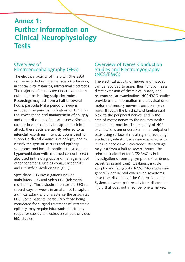### **Annex 1: Further information on Clinical Neurophysiology Tests**

#### Overview of Electroencephalography (EEG)

The electrical activity of the brain (the EEG) can be recorded using either scalp (surface) or, in special circumstances, intracranial electrodes. The majority of studies are undertaken on an outpatient basis using scalp electrodes. Recordings may last from a half to several hours, particularly if a period of sleep is included. The principal indication for EEG is in the investigation and management of epilepsy and other disorders of consciousness. Since it is rare for brief recordings to capture a clinical attack, these EEGs are usually referred to as interictal recordings. Interictal EEG is used to support a clinical diagnosis of epilepsy and to classify the type of seizures and epilepsy syndrome, and include photic stimulation and hyperventilation with informed consent. EEG is also used in the diagnosis and management of other conditions such as coma, encephalitis and Creutzfelt Jacob disease (CJD).

Specialised EEG investigations include ambulatory EEG and video EEG (telemetry) monitoring. These studies monitor the EEG for several days or weeks in an attempt to capture a clinical attack and characterise the associated EEG. Some patients, particularly those being considered for surgical treatment of intractable epilepsy, may require intracranial electrodes (depth or sub-dural electrodes) as part of video EEG studies.

#### Overview of Nerve Conduction Studies and Electromyography (NCS/EMG)

The electrical activity of nerves and muscles can be recorded to assess their function, as a direct extension of the clinical history and neuromuscular examination. NCS/EMG studies provide useful information in the evaluation of motor and sensory nerves, from their nerve roots, through the brachial and lumbosacral plexi to the peripheral nerves, and in the case of motor nerves to the neuromuscular junction and muscles. The majority of NCS examinations are undertaken on an outpatient basis using surface stimulating and recording electrodes, whilst muscles are examined with invasive needle EMG electrodes. Recordings may last from a half to several hours. The principal indication for NCS/EMG is in the investigation of sensory symptoms (numbness, paresthesias and pain), weakness, muscle atrophy and fatigability. NCS/EMG studies are generally not helpful when such symptoms arise from disorders of the Central Nervous System, or when pain results from disease or injury that does not affect peripheral nerves.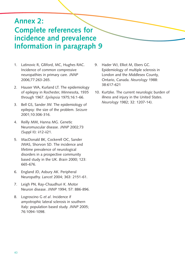## **Annex 2:**

### **Complete references for incidence and prevalence Information in paragraph 9**

- 1. Latinovic R, Glliford, MC, Hughes RAC. Incidence of common compressive neuropathies in primary care. *JNNP* 2006;77:263-265.
- 2. Hauser WA, Kurland LT. The epidemiology of epilepsy in Rochester, Minnesota, 1935 through 1967. *Epilepsia* 1975;16:1-66.
- 3. Bell GS, Sander JW. The epidemiology of epilepsy: the size of the problem. *Seizure* 2001;10:306-316.
- 4. Reilly MM, Hanna MG. Genetic Neuromuscular disease. *JNNP* 2002;73 (Suppl II): ii12-ii21.
- 5. MacDonald BK, Cockerell OC, Sander JWAS, Shorvon SD. The incidence and lifetime prevalence of neurological disorders in a prospective community based study in the UK. *Brain* 2000; 123: 665-676.
- 6. England JD, Asbury AK. Peripheral Neuropathy. *Lancet* 2004; 363: 2151-61.
- 7. Leigh PN, Ray-Chaudhuri K. Motor Neuron disease. *JNNP* 1994; 57: 886-896.
- 8. Logroscino G *et al*. Incidence if amyotrophic lateral sclerosis in southern Italy: population based study. *JNNP* 2005; 76:1094-1098.
- 9. Hader WJ, Elliot M, Ebers GC. Epidemiology of multiple sclerosis in London and the Middlesex County, Ontario, Canada. *Neurology* 1988: 38:617-621
- 10. Kurtzke. The current neurologic burden of illness and injury in the United States. *Neurology* 1982; 32: 1207-14).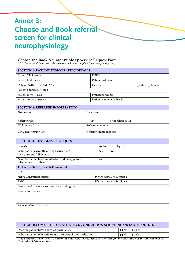## **Annex 3: Choose and Book referral screen for clinical neurophysiology**

#### **Choose and Book Neurophysiology Service Request Form**

*(N.B. Choose and Book referrals accompanied by incomplete forms may be rejected)*

| <b>SECTION 1: PATIENT DEMOGRAPHIC DETAILS</b>                                      |           |                                      |  |  |
|------------------------------------------------------------------------------------|-----------|--------------------------------------|--|--|
| Patient NHS number:                                                                |           | UBRN:                                |  |  |
| Patient first names:                                                               |           | Patient last name:                   |  |  |
| Date of Birth (DD / MM / YY):                                                      |           | Gender:<br>$\Box$ Male $\Box$ Female |  |  |
| Patient address (1 <sup>st</sup> line):                                            |           |                                      |  |  |
| Patient town / city:                                                               |           | Patient postcode:                    |  |  |
| Patient contact number:                                                            |           | Patient contact number 2:            |  |  |
|                                                                                    |           |                                      |  |  |
| <b>SECTION 2: REFERRER INFORMATION</b>                                             |           |                                      |  |  |
| First name:                                                                        |           | Last name:                           |  |  |
| Referrer role:                                                                     | $\Box$ GP | $\Box$ On behalf of GP               |  |  |
| <b>GP Practice Code:</b>                                                           |           | Referrer contact no:                 |  |  |
| GMC Registration No:                                                               |           | Referrer e-mail address:             |  |  |
|                                                                                    |           |                                      |  |  |
| <b>SECTION 3: TEST SERVICE REQUEST</b>                                             |           |                                      |  |  |
| Priority:                                                                          |           | $\Box$ Routine<br>$\Box$ Urgent      |  |  |
| Is the patient currently on any medication?<br>If yes, provide full details.       |           | $\Box$ Yes<br>$\Box$ No              |  |  |
| Does the patient have an infection or do they pose an<br>infection risk to others? |           | $\Box$ No<br>$\Box$ Yes              |  |  |
| Test requested: (please tick one only)                                             |           |                                      |  |  |
| <b>EEG</b><br>□                                                                    |           |                                      |  |  |
| Nerve Conduction Studies<br>$\Box$                                                 |           | Please complete Section 4            |  |  |
| EMG<br>□                                                                           |           | Please complete Section 4            |  |  |
| Provisional diagnosis (or symptoms and signs):                                     |           |                                      |  |  |
| Reason for request:                                                                |           |                                      |  |  |
|                                                                                    |           |                                      |  |  |
|                                                                                    |           |                                      |  |  |
| Relevant clinical history:                                                         |           |                                      |  |  |
|                                                                                    |           |                                      |  |  |
|                                                                                    |           |                                      |  |  |
|                                                                                    |           |                                      |  |  |
| SECTION 4: COMPLETE FOR ALL NERVE CONDUCTION SCREENING OR EMG REQUESTS             |           |                                      |  |  |

*If you have answered 'yes' to any of the questions above, please ensure that you include any relevant information in the clinical history section.*

Does the patient have a cardiac pacemaker?  $\Box$  No  $\Box$  Yes Is the patient on Warfarin or any anti-coagulation medication?  $\Box$  No  $\Box$  Yes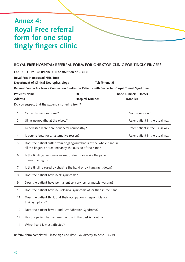## **Annex 4: Royal Free referral form for one stop tingly fingers clinic**

#### **ROYAL FREE HOSPITAL: REFERRAL FORM FOR ONE STOP CLINIC FOR TINGLY FINGERS**

**FAX DIRECTLY TO: [Phone #] [For attention of CP(N)] Royal Free Hampstead NHS Trust** Department of Clinical Neurophysiology **Tel:** [Phone #] **Referral Form – For Nerve Conduction Studies on Patients with Suspected Carpal Tunnel Syndrome** Patient's Name **Patient's Name Phone number:** (Home) **Phone number:** (Home) **Address Hospital Number (Mobile)**

Do you suspect that the patient is suffering from?

| 1.  | Carpal Tunnel syndrome?                                                                                                           | Go to question 5               |
|-----|-----------------------------------------------------------------------------------------------------------------------------------|--------------------------------|
| 2.  | Ulnar neuropathy at the elbow?                                                                                                    | Refer patient in the usual way |
| 3.  | Generalised large fibre peripheral neuropathy?                                                                                    | Refer patient in the usual way |
| 4.  | Is your referral for an alternative reason?                                                                                       | Refer patient in the usual way |
| 5.  | Does the patient suffer from tingling/numbness of the whole hand(s),<br>all the fingers or predominantly the outside of the hand? |                                |
| 6.  | Is the tingling/numbness worse, or does it or wake the patient,<br>during the night?                                              |                                |
| 7.  | Is the tingling eased by shaking the hand or by hanging it down?                                                                  |                                |
| 8.  | Does the patient have neck symptoms?                                                                                              |                                |
| 9.  | Does the patient have permanent sensory loss or muscle wasting?                                                                   |                                |
| 10. | Does the patient have neurological symptoms other than in the hand?                                                               |                                |
| 11. | Does the patient think that their occupation is responsible for<br>their symptoms?                                                |                                |
| 12. | Does the patient have Hand Arm Vibration Syndrome?                                                                                |                                |
| 13. | Has the patient had an arm fracture in the past 6 months?                                                                         |                                |
| 14. | Which hand is most affected?                                                                                                      |                                |

Referral form completed. Please sign and date. Fax directly to dept. [Fax #]